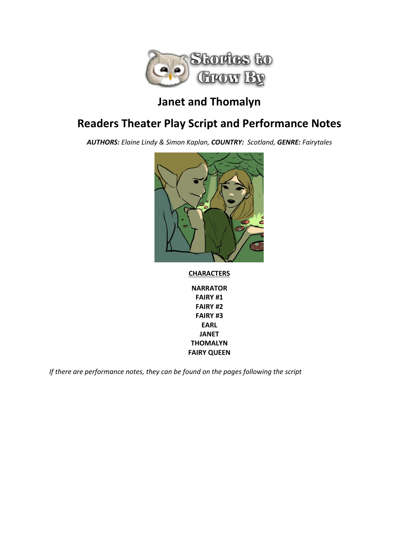

## **Janet and Thomalyn**

## **Readers Theater Play Script and Performance Notes**

*AUTHORS: Elaine Lindy & Simon Kaplan, COUNTRY: Scotland, GENRE: Fairytales*



#### **CHARACTERS**

**NARRATOR FAIRY #1 FAIRY #2 FAIRY #3 EARL JANET THOMALYN FAIRY QUEEN**

*If there are performance notes, they can be found on the pages following the script*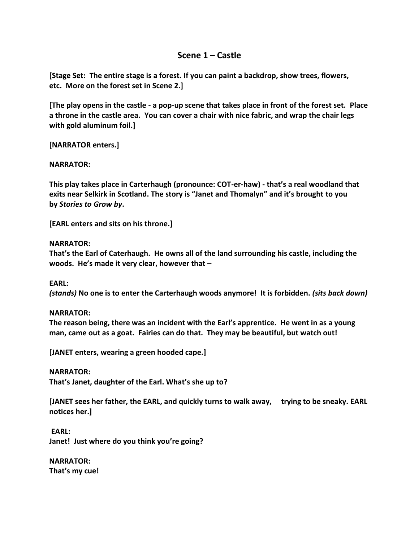## **Scene 1 – Castle**

**[Stage Set: The entire stage is a forest. If you can paint a backdrop, show trees, flowers, etc. More on the forest set in Scene 2.]**

**[The play opens in the castle - a pop-up scene that takes place in front of the forest set. Place a throne in the castle area. You can cover a chair with nice fabric, and wrap the chair legs with gold aluminum foil.]**

**[NARRATOR enters.]**

**NARRATOR:**

**This play takes place in Carterhaugh (pronounce: COT-er-haw) - that's a real woodland that exits near Selkirk in Scotland. The story is "Janet and Thomalyn" and it's brought to you by** *Stories to Grow by***.**

**[EARL enters and sits on his throne.]**

#### **NARRATOR:**

**That's the Earl of Caterhaugh. He owns all of the land surrounding his castle, including the woods. He's made it very clear, however that –**

**EARL:**

*(stands)* **No one is to enter the Carterhaugh woods anymore! It is forbidden.** *(sits back down)*

#### **NARRATOR:**

**The reason being, there was an incident with the Earl's apprentice. He went in as a young man, came out as a goat. Fairies can do that. They may be beautiful, but watch out!**

**[JANET enters, wearing a green hooded cape.]**

**NARRATOR:**

**That's Janet, daughter of the Earl. What's she up to?**

**[JANET sees her father, the EARL, and quickly turns to walk away, trying to be sneaky. EARL notices her.]**

**EARL: Janet! Just where do you think you're going?**

**NARRATOR: That's my cue!**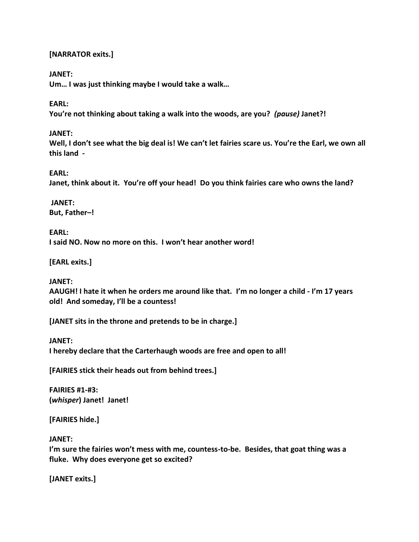#### **[NARRATOR exits.]**

#### **JANET:**

**Um… I was just thinking maybe I would take a walk…**

#### **EARL:**

**You're not thinking about taking a walk into the woods, are you?** *(pause)* **Janet?!**

#### **JANET:**

Well, I don't see what the big deal is! We can't let fairies scare us. You're the Earl, we own all **this land -**

#### **EARL:**

**Janet, think about it. You're off your head! Do you think fairies care who owns the land?**

**JANET: But, Father–!**

**EARL: I said NO. Now no more on this. I won't hear another word!**

**[EARL exits.]**

#### **JANET:**

**AAUGH! I hate it when he orders me around like that. I'm no longer a child - I'm 17 years old! And someday, I'll be a countess!**

**[JANET sits in the throne and pretends to be in charge.]**

#### **JANET:**

**I hereby declare that the Carterhaugh woods are free and open to all!**

**[FAIRIES stick their heads out from behind trees.]**

**FAIRIES #1-#3: (***whisper***) Janet! Janet!**

**[FAIRIES hide.]**

#### **JANET:**

**I'm sure the fairies won't mess with me, countess-to-be. Besides, that goat thing was a fluke. Why does everyone get so excited?**

**[JANET exits.]**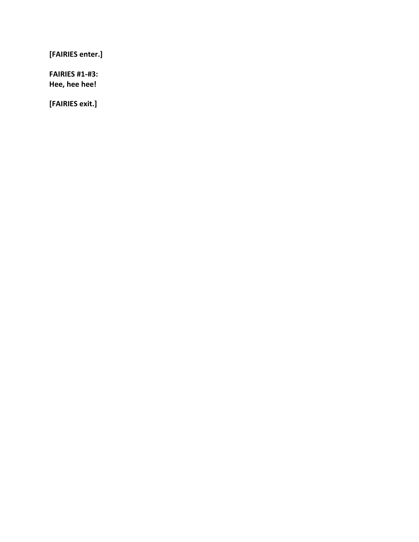**[FAIRIES enter.]**

**FAIRIES #1-#3: Hee, hee hee!**

**[FAIRIES exit.]**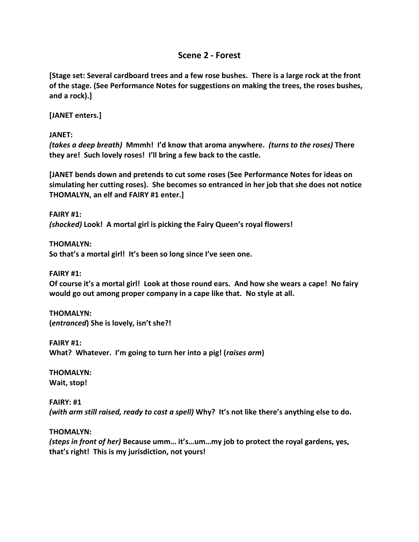## **Scene 2 - Forest**

**[Stage set: Several cardboard trees and a few rose bushes. There is a large rock at the front of the stage. (See Performance Notes for suggestions on making the trees, the roses bushes, and a rock).]**

**[JANET enters.]**

**JANET:**

*(takes a deep breath)* **Mmmh! I'd know that aroma anywhere.** *(turns to the roses)* **There they are! Such lovely roses! I'll bring a few back to the castle.**

**[JANET bends down and pretends to cut some roses (See Performance Notes for ideas on simulating her cutting roses). She becomes so entranced in her job that she does not notice THOMALYN, an elf and FAIRY #1 enter.]**

**FAIRY #1:** *(shocked)* **Look! A mortal girl is picking the Fairy Queen's royal flowers!**

**THOMALYN: So that's a mortal girl! It's been so long since I've seen one.**

**FAIRY #1:**

**Of course it's a mortal girl! Look at those round ears. And how she wears a cape! No fairy would go out among proper company in a cape like that. No style at all.**

**THOMALYN: (***entranced***) She is lovely, isn't she?!**

**FAIRY #1: What? Whatever. I'm going to turn her into a pig! (***raises arm***)**

**THOMALYN: Wait, stop!**

**FAIRY: #1** *(with arm still raised, ready to cast a spell)* **Why? It's not like there's anything else to do.**

**THOMALYN:**

*(steps in front of her)* **Because umm… it's…um…my job to protect the royal gardens, yes, that's right! This is my jurisdiction, not yours!**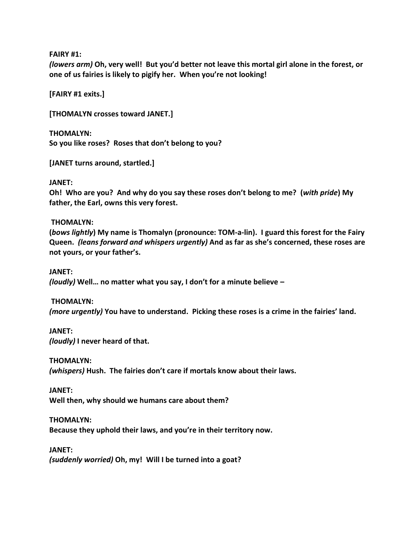**FAIRY #1:**

*(lowers arm)* **Oh, very well! But you'd better not leave this mortal girl alone in the forest, or one of us fairies is likely to pigify her. When you're not looking!**

**[FAIRY #1 exits.]**

**[THOMALYN crosses toward JANET.]**

**THOMALYN: So you like roses? Roses that don't belong to you?**

**[JANET turns around, startled.]**

#### **JANET:**

**Oh! Who are you? And why do you say these roses don't belong to me? (***with pride***) My father, the Earl, owns this very forest.**

#### **THOMALYN:**

**(***bows lightly***) My name is Thomalyn (pronounce: TOM-a-lin). I guard this forest for the Fairy Queen.** *(leans forward and whispers urgently)* **And as far as she's concerned, these roses are not yours, or your father's.**

**JANET:** *(loudly)* **Well… no matter what you say, I don't for a minute believe –**

**THOMALYN:**

*(more urgently)* **You have to understand. Picking these roses is a crime in the fairies' land.**

**JANET:** *(loudly)* **I never heard of that.**

**THOMALYN:** *(whispers)* **Hush. The fairies don't care if mortals know about their laws.**

**JANET: Well then, why should we humans care about them?**

**THOMALYN: Because they uphold their laws, and you're in their territory now.**

**JANET:** *(suddenly worried)* **Oh, my! Will I be turned into a goat?**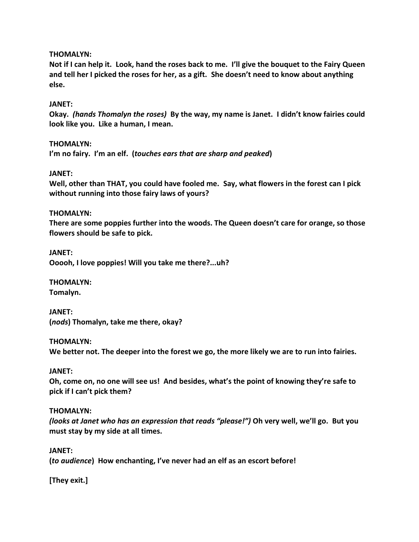#### **THOMALYN:**

**Not if I can help it. Look, hand the roses back to me. I'll give the bouquet to the Fairy Queen and tell her I picked the roses for her, as a gift. She doesn't need to know about anything else.**

#### **JANET:**

**Okay.** *(hands Thomalyn the roses)* **By the way, my name is Janet. I didn't know fairies could look like you. Like a human, I mean.**

#### **THOMALYN:**

**I'm no fairy. I'm an elf. (***touches ears that are sharp and peaked***)**

#### **JANET:**

**Well, other than THAT, you could have fooled me. Say, what flowers in the forest can I pick without running into those fairy laws of yours?**

#### **THOMALYN:**

**There are some poppies further into the woods. The Queen doesn't care for orange, so those flowers should be safe to pick.**

**JANET: Ooooh, I love poppies! Will you take me there?...uh?**

**THOMALYN: Tomalyn.**

**JANET: (***nods***) Thomalyn, take me there, okay?**

#### **THOMALYN:**

**We better not. The deeper into the forest we go, the more likely we are to run into fairies.**

#### **JANET:**

**Oh, come on, no one will see us! And besides, what's the point of knowing they're safe to pick if I can't pick them?**

#### **THOMALYN:**

*(looks at Janet who has an expression that reads "please!")* **Oh very well, we'll go. But you must stay by my side at all times.**

#### **JANET:**

**(***to audience***) How enchanting, I've never had an elf as an escort before!**

**[They exit.]**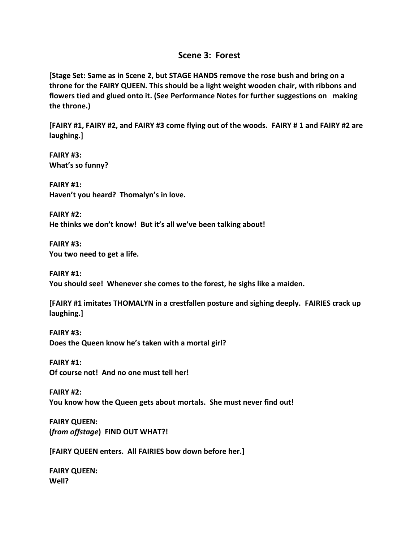### **Scene 3: Forest**

**[Stage Set: Same as in Scene 2, but STAGE HANDS remove the rose bush and bring on a throne for the FAIRY QUEEN. This should be a light weight wooden chair, with ribbons and flowers tied and glued onto it. (See Performance Notes for further suggestions on making the throne.)**

**[FAIRY #1, FAIRY #2, and FAIRY #3 come flying out of the woods. FAIRY # 1 and FAIRY #2 are laughing.]**

**FAIRY #3: What's so funny?**

**FAIRY #1: Haven't you heard? Thomalyn's in love.**

**FAIRY #2: He thinks we don't know! But it's all we've been talking about!**

**FAIRY #3: You two need to get a life.**

**FAIRY #1: You should see! Whenever she comes to the forest, he sighs like a maiden.**

**[FAIRY #1 imitates THOMALYN in a crestfallen posture and sighing deeply. FAIRIES crack up laughing.]**

**FAIRY #3: Does the Queen know he's taken with a mortal girl?**

**FAIRY #1: Of course not! And no one must tell her!**

**FAIRY #2: You know how the Queen gets about mortals. She must never find out!**

**FAIRY QUEEN: (***from offstage***) FIND OUT WHAT?!**

**[FAIRY QUEEN enters. All FAIRIES bow down before her.]**

**FAIRY QUEEN: Well?**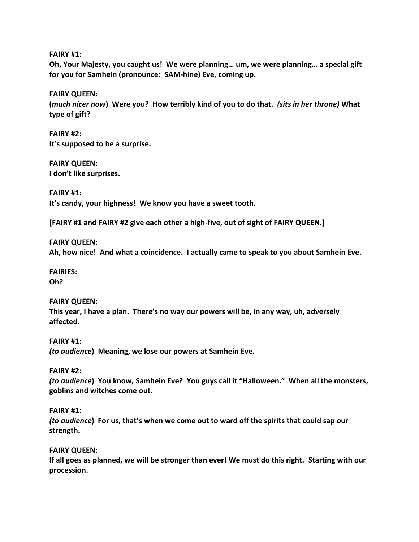**FAIRY #1:**

**Oh, Your Majesty, you caught us! We were planning… um, we were planning… a special gift for you for Samhein (pronounce: SAM-hine) Eve, coming up.**

**FAIRY QUEEN: (***much nicer now***) Were you? How terribly kind of you to do that.** *(sits in her throne)* **What type of gift?**

**FAIRY #2: It's supposed to be a surprise.**

**FAIRY QUEEN: I don't like surprises.**

**FAIRY #1: It's candy, your highness! We know you have a sweet tooth.**

**[FAIRY #1 and FAIRY #2 give each other a high-five, out of sight of FAIRY QUEEN.]**

**FAIRY QUEEN: Ah, how nice! And what a coincidence. I actually came to speak to you about Samhein Eve.**

**FAIRIES: Oh?**

#### **FAIRY QUEEN: This year, I have a plan. There's no way our powers will be, in any way, uh, adversely affected.**

**FAIRY #1:** *(to audience***) Meaning, we lose our powers at Samhein Eve.**

**FAIRY #2:**

*(to audience***) You know, Samhein Eve? You guys call it "Halloween." When all the monsters, goblins and witches come out.**

**FAIRY #1:**

*(to audience***) For us, that's when we come out to ward off the spirits that could sap our strength.**

**FAIRY QUEEN:**

**If all goes as planned, we will be stronger than ever! We must do this right. Starting with our procession.**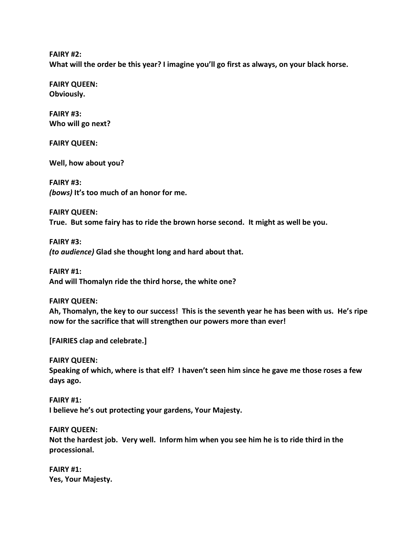**FAIRY #2:**

**What will the order be this year? I imagine you'll go first as always, on your black horse.**

**FAIRY QUEEN: Obviously.**

**FAIRY #3: Who will go next?**

**FAIRY QUEEN:**

**Well, how about you?**

**FAIRY #3:** *(bows)* **It's too much of an honor for me.**

**FAIRY QUEEN: True. But some fairy has to ride the brown horse second. It might as well be you.**

**FAIRY #3:** *(to audience)* **Glad she thought long and hard about that.**

**FAIRY #1: And will Thomalyn ride the third horse, the white one?**

**FAIRY QUEEN:**

**Ah, Thomalyn, the key to our success! This is the seventh year he has been with us. He's ripe now for the sacrifice that will strengthen our powers more than ever!**

**[FAIRIES clap and celebrate.]**

**FAIRY QUEEN:**

**Speaking of which, where is that elf? I haven't seen him since he gave me those roses a few days ago.**

**FAIRY #1: I believe he's out protecting your gardens, Your Majesty.**

**FAIRY QUEEN:**

**Not the hardest job. Very well. Inform him when you see him he is to ride third in the processional.**

**FAIRY #1: Yes, Your Majesty.**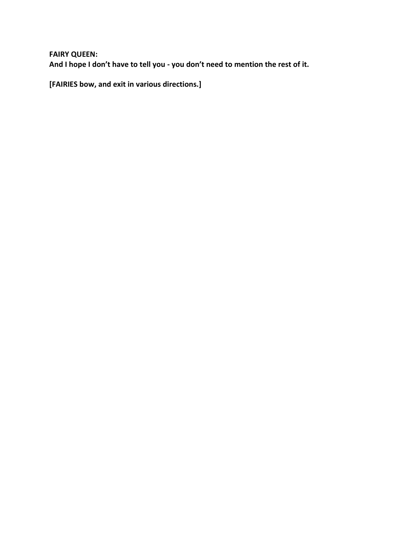**FAIRY QUEEN: And I hope I don't have to tell you - you don't need to mention the rest of it.**

**[FAIRIES bow, and exit in various directions.]**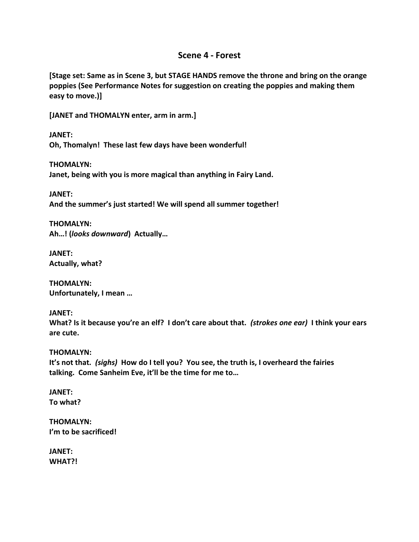#### **Scene 4 - Forest**

**[Stage set: Same as in Scene 3, but STAGE HANDS remove the throne and bring on the orange poppies (See Performance Notes for suggestion on creating the poppies and making them easy to move.)]**

**[JANET and THOMALYN enter, arm in arm.]**

**JANET: Oh, Thomalyn! These last few days have been wonderful!**

**THOMALYN: Janet, being with you is more magical than anything in Fairy Land.**

**JANET: And the summer's just started! We will spend all summer together!**

**THOMALYN: Ah…! (***looks downward***) Actually…**

**JANET: Actually, what?**

**THOMALYN: Unfortunately, I mean …**

**JANET: What? Is it because you're an elf? I don't care about that.** *(strokes one ear)* **I think your ears are cute.**

**THOMALYN: It's not that.** *(sighs)* **How do I tell you? You see, the truth is, I overheard the fairies talking. Come Sanheim Eve, it'll be the time for me to…**

**JANET: To what?**

**THOMALYN: I'm to be sacrificed!**

**JANET: WHAT?!**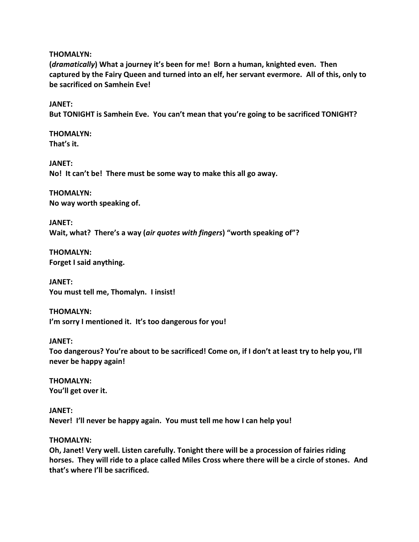**THOMALYN:**

**(***dramatically***) What a journey it's been for me! Born a human, knighted even. Then captured by the Fairy Queen and turned into an elf, her servant evermore. All of this, only to be sacrificed on Samhein Eve!**

**JANET:**

**But TONIGHT is Samhein Eve. You can't mean that you're going to be sacrificed TONIGHT?**

**THOMALYN: That's it.**

**JANET: No! It can't be! There must be some way to make this all go away.**

**THOMALYN: No way worth speaking of.**

**JANET: Wait, what? There's a way (***air quotes with fingers***) "worth speaking of"?**

**THOMALYN: Forget I said anything.**

**JANET: You must tell me, Thomalyn. I insist!**

**THOMALYN: I'm sorry I mentioned it. It's too dangerous for you!**

#### **JANET:**

**Too dangerous? You're about to be sacrificed! Come on, if I don't at least try to help you, I'll never be happy again!**

**THOMALYN: You'll get over it.**

**JANET: Never! I'll never be happy again. You must tell me how I can help you!**

#### **THOMALYN:**

**Oh, Janet! Very well. Listen carefully. Tonight there will be a procession of fairies riding horses. They will ride to a place called Miles Cross where there will be a circle of stones. And that's where I'll be sacrificed.**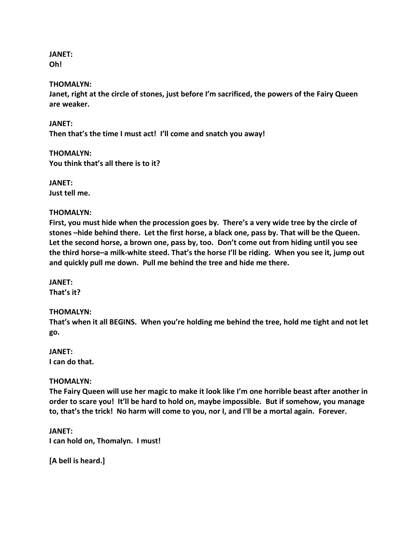**JANET: Oh!**

#### **THOMALYN:**

**Janet, right at the circle of stones, just before I'm sacrificed, the powers of the Fairy Queen are weaker.**

**JANET: Then that's the time I must act! I'll come and snatch you away!**

**THOMALYN: You think that's all there is to it?**

**JANET: Just tell me.**

#### **THOMALYN:**

**First, you must hide when the procession goes by. There's a very wide tree by the circle of stones –hide behind there. Let the first horse, a black one, pass by. That will be the Queen. Let the second horse, a brown one, pass by, too. Don't come out from hiding until you see the third horse–a milk-white steed. That's the horse I'll be riding. When you see it, jump out and quickly pull me down. Pull me behind the tree and hide me there.**

**JANET: That's it?**

#### **THOMALYN:**

**That's when it all BEGINS. When you're holding me behind the tree, hold me tight and not let go.**

**JANET: I can do that.**

#### **THOMALYN:**

**The Fairy Queen will use her magic to make it look like I'm one horrible beast after another in order to scare you! It'll be hard to hold on, maybe impossible. But if somehow, you manage to, that's the trick! No harm will come to you, nor I, and I'll be a mortal again. Forever.**

**JANET: I can hold on, Thomalyn. I must!**

**[A bell is heard.]**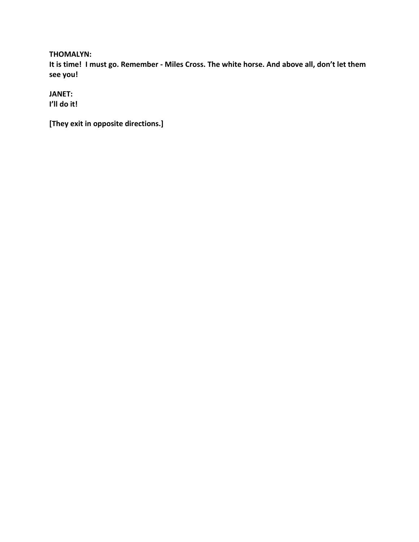#### **THOMALYN:**

**It is time! I must go. Remember - Miles Cross. The white horse. And above all, don't let them see you!**

**JANET:**

**I'll do it!**

**[They exit in opposite directions.]**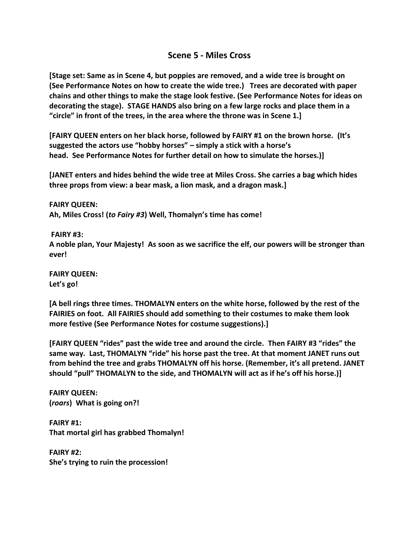## **Scene 5 - Miles Cross**

**[Stage set: Same as in Scene 4, but poppies are removed, and a wide tree is brought on (See Performance Notes on how to create the wide tree.) Trees are decorated with paper chains and other things to make the stage look festive. (See Performance Notes for ideas on decorating the stage). STAGE HANDS also bring on a few large rocks and place them in a "circle" in front of the trees, in the area where the throne was in Scene 1.]**

**[FAIRY QUEEN enters on her black horse, followed by FAIRY #1 on the brown horse. (It's suggested the actors use "hobby horses" – simply a stick with a horse's head. See Performance Notes for further detail on how to simulate the horses.)]**

**[JANET enters and hides behind the wide tree at Miles Cross. She carries a bag which hides three props from view: a bear mask, a lion mask, and a dragon mask.]**

**FAIRY QUEEN: Ah, Miles Cross! (***to Fairy #3***) Well, Thomalyn's time has come!**

**FAIRY #3:**

**A noble plan, Your Majesty! As soon as we sacrifice the elf, our powers will be stronger than ever!**

**FAIRY QUEEN: Let's go!**

**[A bell rings three times. THOMALYN enters on the white horse, followed by the rest of the FAIRIES on foot. All FAIRIES should add something to their costumes to make them look more festive (See Performance Notes for costume suggestions).]**

**[FAIRY QUEEN "rides" past the wide tree and around the circle. Then FAIRY #3 "rides" the same way. Last, THOMALYN "ride" his horse past the tree. At that moment JANET runs out from behind the tree and grabs THOMALYN off his horse. (Remember, it's all pretend. JANET should "pull" THOMALYN to the side, and THOMALYN will act as if he's off his horse.)]**

**FAIRY QUEEN: (***roars***) What is going on?!**

**FAIRY #1: That mortal girl has grabbed Thomalyn!**

**FAIRY #2: She's trying to ruin the procession!**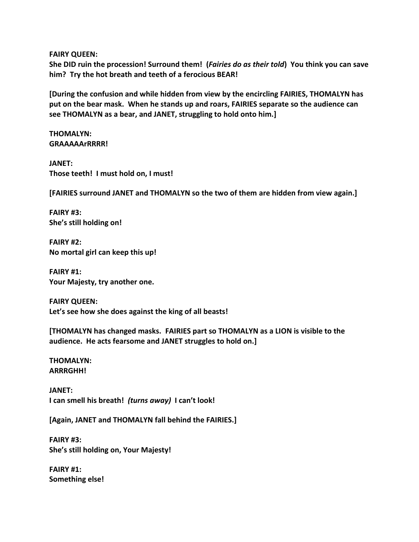**FAIRY QUEEN:**

**She DID ruin the procession! Surround them! (***Fairies do as their told***) You think you can save him? Try the hot breath and teeth of a ferocious BEAR!**

**[During the confusion and while hidden from view by the encircling FAIRIES, THOMALYN has put on the bear mask. When he stands up and roars, FAIRIES separate so the audience can see THOMALYN as a bear, and JANET, struggling to hold onto him.]**

**THOMALYN: GRAAAAArRRRR!**

**JANET: Those teeth! I must hold on, I must!**

**[FAIRIES surround JANET and THOMALYN so the two of them are hidden from view again.]**

**FAIRY #3: She's still holding on!**

**FAIRY #2: No mortal girl can keep this up!**

**FAIRY #1: Your Majesty, try another one.**

**FAIRY QUEEN: Let's see how she does against the king of all beasts!**

**[THOMALYN has changed masks. FAIRIES part so THOMALYN as a LION is visible to the audience. He acts fearsome and JANET struggles to hold on.]**

**THOMALYN: ARRRGHH!**

**JANET: I can smell his breath!** *(turns away)* **I can't look!**

**[Again, JANET and THOMALYN fall behind the FAIRIES.]**

**FAIRY #3: She's still holding on, Your Majesty!**

**FAIRY #1: Something else!**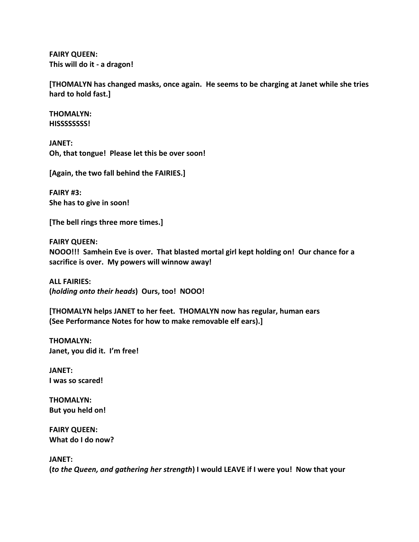**FAIRY QUEEN: This will do it - a dragon!**

**[THOMALYN has changed masks, once again. He seems to be charging at Janet while she tries hard to hold fast.]**

**THOMALYN: HISSSSSSSS!**

**JANET: Oh, that tongue! Please let this be over soon!**

**[Again, the two fall behind the FAIRIES.]**

**FAIRY #3: She has to give in soon!**

**[The bell rings three more times.]**

**FAIRY QUEEN: NOOO!!! Samhein Eve is over. That blasted mortal girl kept holding on! Our chance for a sacrifice is over. My powers will winnow away!**

**ALL FAIRIES: (***holding onto their heads***) Ours, too! NOOO!**

**[THOMALYN helps JANET to her feet. THOMALYN now has regular, human ears (See Performance Notes for how to make removable elf ears).]**

**THOMALYN: Janet, you did it. I'm free!**

**JANET: I was so scared!**

**THOMALYN: But you held on!**

**FAIRY QUEEN: What do I do now?**

**JANET:**

**(***to the Queen, and gathering her strength***) I would LEAVE if I were you! Now that your**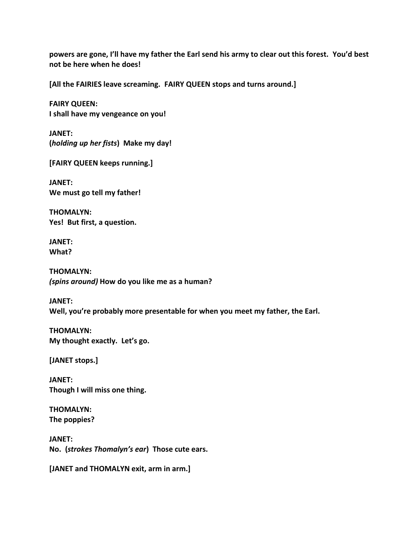**powers are gone, I'll have my father the Earl send his army to clear out this forest. You'd best not be here when he does!**

**[All the FAIRIES leave screaming. FAIRY QUEEN stops and turns around.]**

**FAIRY QUEEN: I shall have my vengeance on you!**

**JANET: (***holding up her fists***) Make my day!**

**[FAIRY QUEEN keeps running.]**

**JANET: We must go tell my father!**

**THOMALYN: Yes! But first, a question.**

**JANET: What?**

**THOMALYN:** *(spins around)* **How do you like me as a human?**

**JANET: Well, you're probably more presentable for when you meet my father, the Earl.**

**THOMALYN: My thought exactly. Let's go.**

**[JANET stops.]**

**JANET: Though I will miss one thing.**

**THOMALYN: The poppies?**

**JANET: No. (***strokes Thomalyn's ear***) Those cute ears.**

**[JANET and THOMALYN exit, arm in arm.]**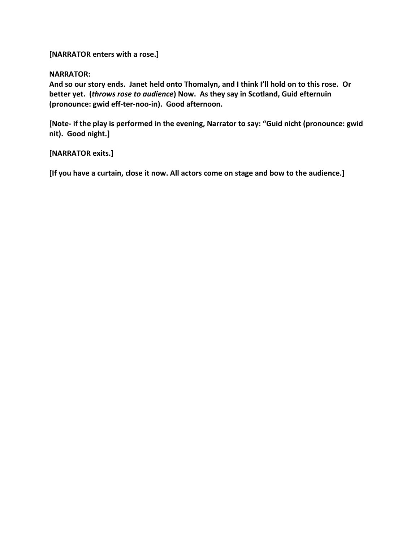**[NARRATOR enters with a rose.]**

#### **NARRATOR:**

**And so our story ends. Janet held onto Thomalyn, and I think I'll hold on to this rose. Or better yet. (***throws rose to audience***) Now. As they say in Scotland, Guid efternuin (pronounce: gwid eff-ter-noo-in). Good afternoon.**

**[Note- if the play is performed in the evening, Narrator to say: "Guid nicht (pronounce: gwid nit). Good night.]**

#### **[NARRATOR exits.]**

**[If you have a curtain, close it now. All actors come on stage and bow to the audience.]**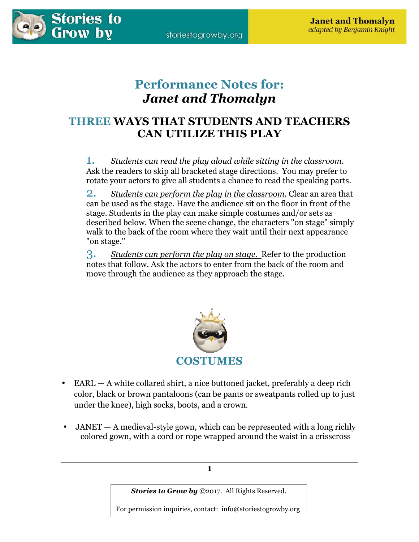

# **Performance Notes for:**  *Janet and Thomalyn*

## **THREE WAYS THAT STUDENTS AND TEACHERS CAN UTILIZE THIS PLAY**

1. *Students can read the play aloud while sitting in the classroom.* Ask the readers to skip all bracketed stage directions. You may prefer to rotate your actors to give all students a chance to read the speaking parts.

2. *Students can perform the play in the classroom.* Clear an area that can be used as the stage. Have the audience sit on the floor in front of the stage. Students in the play can make simple costumes and/or sets as described below. When the scene change, the characters "on stage" simply walk to the back of the room where they wait until their next appearance "on stage."

3. *Students can perform the play on stage.* Refer to the production notes that follow. Ask the actors to enter from the back of the room and move through the audience as they approach the stage.



- EARL A white collared shirt, a nice buttoned jacket, preferably a deep rich color, black or brown pantaloons (can be pants or sweatpants rolled up to just under the knee), high socks, boots, and a crown.
- $JANET A$  medieval-style gown, which can be represented with a long richly colored gown, with a cord or rope wrapped around the waist in a crisscross

*Stories to Grow by* ©2017. All Rights Reserved.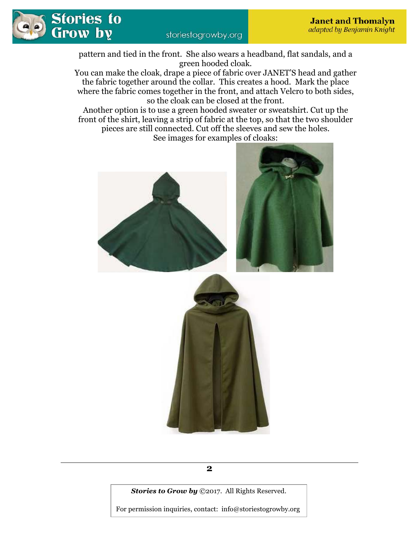

pattern and tied in the front. She also wears a headband, flat sandals, and a green hooded cloak.

You can make the cloak, drape a piece of fabric over JANET'S head and gather the fabric together around the collar. This creates a hood. Mark the place where the fabric comes together in the front, and attach Velcro to both sides, so the cloak can be closed at the front.

Another option is to use a green hooded sweater or sweatshirt. Cut up the front of the shirt, leaving a strip of fabric at the top, so that the two shoulder pieces are still connected. Cut off the sleeves and sew the holes. See images for examples of cloaks:



*Stories to Grow by* ©2017. All Rights Reserved.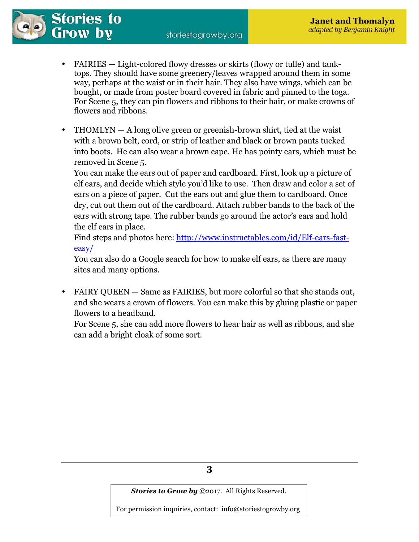storiestogrowby.org



- FAIRIES Light-colored flowy dresses or skirts (flowy or tulle) and tanktops. They should have some greenery/leaves wrapped around them in some way, perhaps at the waist or in their hair. They also have wings, which can be bought, or made from poster board covered in fabric and pinned to the toga. For Scene 5, they can pin flowers and ribbons to their hair, or make crowns of flowers and ribbons.
- $THOMLYN A$  long olive green or greenish-brown shirt, tied at the waist with a brown belt, cord, or strip of leather and black or brown pants tucked into boots. He can also wear a brown cape. He has pointy ears, which must be removed in Scene 5.

You can make the ears out of paper and cardboard. First, look up a picture of elf ears, and decide which style you'd like to use. Then draw and color a set of ears on a piece of paper. Cut the ears out and glue them to cardboard. Once dry, cut out them out of the cardboard. Attach rubber bands to the back of the ears with strong tape. The rubber bands go around the actor's ears and hold the elf ears in place.

Find steps and photos here: http://www.instructables.com/id/Elf-ears-fasteasy/

You can also do a Google search for how to make elf ears, as there are many sites and many options.

• FAIRY QUEEN — Same as FAIRIES, but more colorful so that she stands out, and she wears a crown of flowers. You can make this by gluing plastic or paper flowers to a headband.

For Scene 5, she can add more flowers to hear hair as well as ribbons, and she can add a bright cloak of some sort.

*Stories to Grow by* ©2017. All Rights Reserved.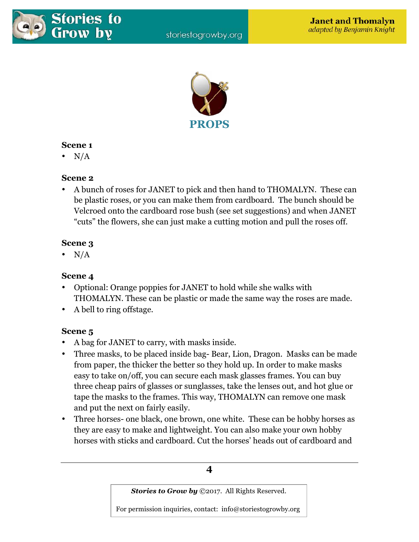



## **Scene 1**

•  $N/A$ 

## **Scene 2**

• A bunch of roses for JANET to pick and then hand to THOMALYN. These can be plastic roses, or you can make them from cardboard. The bunch should be Velcroed onto the cardboard rose bush (see set suggestions) and when JANET "cuts" the flowers, she can just make a cutting motion and pull the roses off.

## **Scene 3**

•  $N/A$ 

## **Scene 4**

- Optional: Orange poppies for JANET to hold while she walks with THOMALYN. These can be plastic or made the same way the roses are made.
- A bell to ring offstage.

## **Scene 5**

- A bag for JANET to carry, with masks inside.
- Three masks, to be placed inside bag- Bear, Lion, Dragon. Masks can be made from paper, the thicker the better so they hold up. In order to make masks easy to take on/off, you can secure each mask glasses frames. You can buy three cheap pairs of glasses or sunglasses, take the lenses out, and hot glue or tape the masks to the frames. This way, THOMALYN can remove one mask and put the next on fairly easily.
- Three horses- one black, one brown, one white. These can be hobby horses as they are easy to make and lightweight. You can also make your own hobby horses with sticks and cardboard. Cut the horses' heads out of cardboard and

## **4**

*Stories to Grow by* ©2017. All Rights Reserved.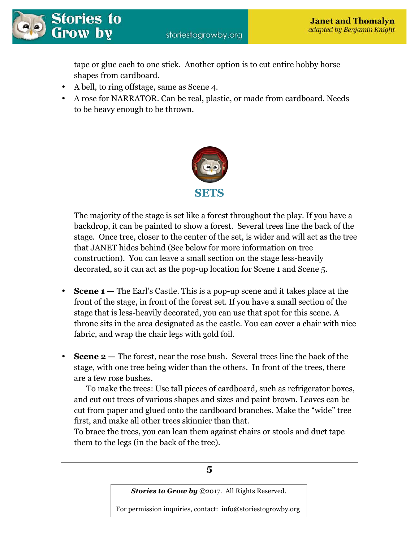tape or glue each to one stick. Another option is to cut entire hobby horse shapes from cardboard.

- A bell, to ring offstage, same as Scene 4.
- A rose for NARRATOR. Can be real, plastic, or made from cardboard. Needs to be heavy enough to be thrown.



The majority of the stage is set like a forest throughout the play. If you have a backdrop, it can be painted to show a forest. Several trees line the back of the stage. Once tree, closer to the center of the set, is wider and will act as the tree that JANET hides behind (See below for more information on tree construction). You can leave a small section on the stage less-heavily decorated, so it can act as the pop-up location for Scene 1 and Scene 5.

- **Scene 1** The Earl's Castle. This is a pop-up scene and it takes place at the front of the stage, in front of the forest set. If you have a small section of the stage that is less-heavily decorated, you can use that spot for this scene. A throne sits in the area designated as the castle. You can cover a chair with nice fabric, and wrap the chair legs with gold foil.
- **Scene 2** The forest, near the rose bush. Several trees line the back of the stage, with one tree being wider than the others. In front of the trees, there are a few rose bushes.

 To make the trees: Use tall pieces of cardboard, such as refrigerator boxes, and cut out trees of various shapes and sizes and paint brown. Leaves can be cut from paper and glued onto the cardboard branches. Make the "wide" tree first, and make all other trees skinnier than that.

To brace the trees, you can lean them against chairs or stools and duct tape them to the legs (in the back of the tree).

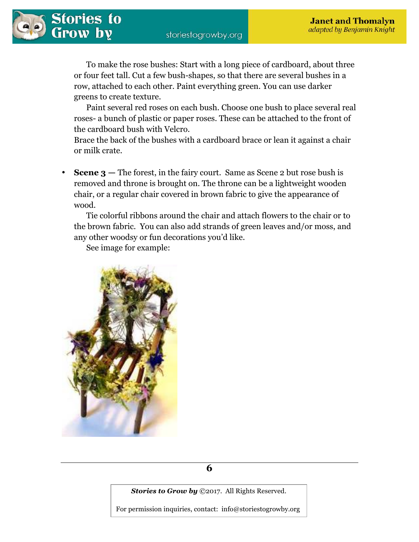

 To make the rose bushes: Start with a long piece of cardboard, about three or four feet tall. Cut a few bush-shapes, so that there are several bushes in a row, attached to each other. Paint everything green. You can use darker greens to create texture.

 Paint several red roses on each bush. Choose one bush to place several real roses- a bunch of plastic or paper roses. These can be attached to the front of the cardboard bush with Velcro.

Brace the back of the bushes with a cardboard brace or lean it against a chair or milk crate.

• **Scene 3 —** The forest, in the fairy court. Same as Scene 2 but rose bush is removed and throne is brought on. The throne can be a lightweight wooden chair, or a regular chair covered in brown fabric to give the appearance of wood.

 Tie colorful ribbons around the chair and attach flowers to the chair or to the brown fabric. You can also add strands of green leaves and/or moss, and any other woodsy or fun decorations you'd like.

See image for example:





*Stories to Grow by* ©2017. All Rights Reserved.